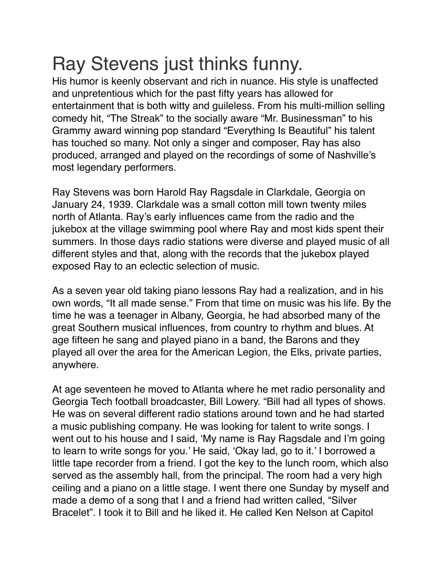## Ray Stevens just thinks funny.

His humor is keenly observant and rich in nuance. His style is unaffected and unpretentious which for the past fifty years has allowed for entertainment that is both witty and guileless. From his multi-million selling comedy hit, "The Streak" to the socially aware "Mr. Businessman" to his Grammy award winning pop standard "Everything Is Beautiful" his talent has touched so many. Not only a singer and composer, Ray has also produced, arranged and played on the recordings of some of Nashville's most legendary performers.

Ray Stevens was born Harold Ray Ragsdale in Clarkdale, Georgia on January 24, 1939. Clarkdale was a small cotton mill town twenty miles north of Atlanta. Ray's early influences came from the radio and the jukebox at the village swimming pool where Ray and most kids spent their summers. In those days radio stations were diverse and played music of all different styles and that, along with the records that the jukebox played exposed Ray to an eclectic selection of music.

As a seven year old taking piano lessons Ray had a realization, and in his own words, "It all made sense." From that time on music was his life. By the time he was a teenager in Albany, Georgia, he had absorbed many of the great Southern musical influences, from country to rhythm and blues. At age fifteen he sang and played piano in a band, the Barons and they played all over the area for the American Legion, the Elks, private parties, anywhere.

At age seventeen he moved to Atlanta where he met radio personality and Georgia Tech football broadcaster, Bill Lowery. "Bill had all types of shows. He was on several different radio stations around town and he had started a music publishing company. He was looking for talent to write songs. I went out to his house and I said, 'My name is Ray Ragsdale and I'm going to learn to write songs for you.' He said, 'Okay lad, go to it.' I borrowed a little tape recorder from a friend. I got the key to the lunch room, which also served as the assembly hall, from the principal. The room had a very high ceiling and a piano on a little stage. I went there one Sunday by myself and made a demo of a song that I and a friend had written called, "Silver Bracelet". I took it to Bill and he liked it. He called Ken Nelson at Capitol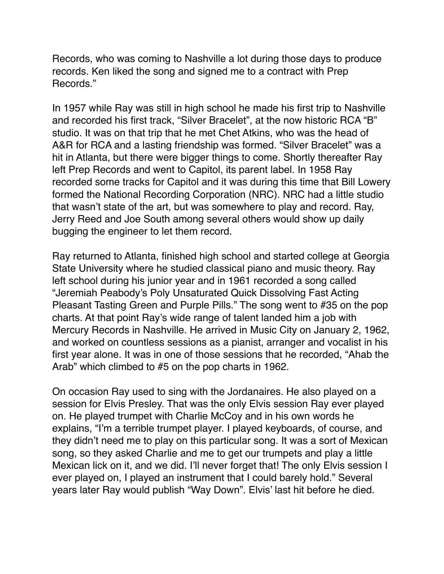Records, who was coming to Nashville a lot during those days to produce records. Ken liked the song and signed me to a contract with Prep Records."

In 1957 while Ray was still in high school he made his first trip to Nashville and recorded his first track, "Silver Bracelet", at the now historic RCA "B" studio. It was on that trip that he met Chet Atkins, who was the head of A&R for RCA and a lasting friendship was formed. "Silver Bracelet" was a hit in Atlanta, but there were bigger things to come. Shortly thereafter Ray left Prep Records and went to Capitol, its parent label. In 1958 Ray recorded some tracks for Capitol and it was during this time that Bill Lowery formed the National Recording Corporation (NRC). NRC had a little studio that wasn't state of the art, but was somewhere to play and record. Ray, Jerry Reed and Joe South among several others would show up daily bugging the engineer to let them record.

Ray returned to Atlanta, finished high school and started college at Georgia State University where he studied classical piano and music theory. Ray left school during his junior year and in 1961 recorded a song called "Jeremiah Peabody's Poly Unsaturated Quick Dissolving Fast Acting Pleasant Tasting Green and Purple Pills." The song went to #35 on the pop charts. At that point Ray's wide range of talent landed him a job with Mercury Records in Nashville. He arrived in Music City on January 2, 1962, and worked on countless sessions as a pianist, arranger and vocalist in his first year alone. It was in one of those sessions that he recorded, "Ahab the Arab" which climbed to #5 on the pop charts in 1962.

On occasion Ray used to sing with the Jordanaires. He also played on a session for Elvis Presley. That was the only Elvis session Ray ever played on. He played trumpet with Charlie McCoy and in his own words he explains, "I'm a terrible trumpet player. I played keyboards, of course, and they didn't need me to play on this particular song. It was a sort of Mexican song, so they asked Charlie and me to get our trumpets and play a little Mexican lick on it, and we did. I'll never forget that! The only Elvis session I ever played on, I played an instrument that I could barely hold." Several years later Ray would publish "Way Down". Elvis' last hit before he died.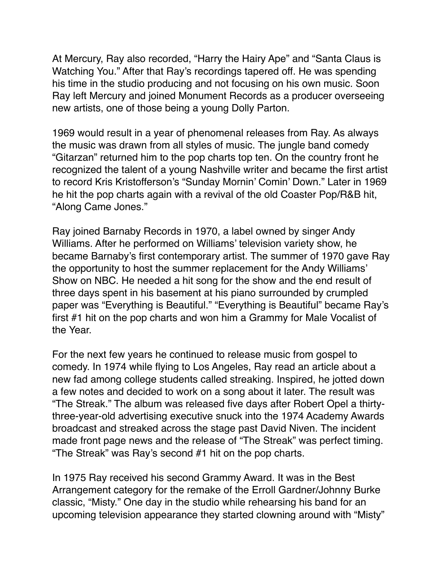At Mercury, Ray also recorded, "Harry the Hairy Ape" and "Santa Claus is Watching You." After that Ray's recordings tapered off. He was spending his time in the studio producing and not focusing on his own music. Soon Ray left Mercury and joined Monument Records as a producer overseeing new artists, one of those being a young Dolly Parton.

1969 would result in a year of phenomenal releases from Ray. As always the music was drawn from all styles of music. The jungle band comedy "Gitarzan" returned him to the pop charts top ten. On the country front he recognized the talent of a young Nashville writer and became the first artist to record Kris Kristofferson's "Sunday Mornin' Comin' Down." Later in 1969 he hit the pop charts again with a revival of the old Coaster Pop/R&B hit, "Along Came Jones."

Ray joined Barnaby Records in 1970, a label owned by singer Andy Williams. After he performed on Williams' television variety show, he became Barnaby's first contemporary artist. The summer of 1970 gave Ray the opportunity to host the summer replacement for the Andy Williams' Show on NBC. He needed a hit song for the show and the end result of three days spent in his basement at his piano surrounded by crumpled paper was "Everything is Beautiful." "Everything is Beautiful" became Ray's first #1 hit on the pop charts and won him a Grammy for Male Vocalist of the Year.

For the next few years he continued to release music from gospel to comedy. In 1974 while flying to Los Angeles, Ray read an article about a new fad among college students called streaking. Inspired, he jotted down a few notes and decided to work on a song about it later. The result was "The Streak." The album was released five days after Robert Opel a thirtythree-year-old advertising executive snuck into the 1974 Academy Awards broadcast and streaked across the stage past David Niven. The incident made front page news and the release of "The Streak" was perfect timing. "The Streak" was Ray's second #1 hit on the pop charts.

In 1975 Ray received his second Grammy Award. It was in the Best Arrangement category for the remake of the Erroll Gardner/Johnny Burke classic, "Misty." One day in the studio while rehearsing his band for an upcoming television appearance they started clowning around with "Misty"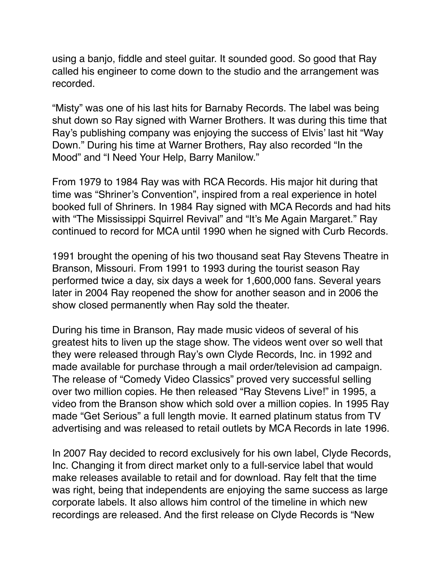using a banjo, fiddle and steel guitar. It sounded good. So good that Ray called his engineer to come down to the studio and the arrangement was recorded.

"Misty" was one of his last hits for Barnaby Records. The label was being shut down so Ray signed with Warner Brothers. It was during this time that Ray's publishing company was enjoying the success of Elvis' last hit "Way Down." During his time at Warner Brothers, Ray also recorded "In the Mood" and "I Need Your Help, Barry Manilow."

From 1979 to 1984 Ray was with RCA Records. His major hit during that time was "Shriner's Convention", inspired from a real experience in hotel booked full of Shriners. In 1984 Ray signed with MCA Records and had hits with "The Mississippi Squirrel Revival" and "It's Me Again Margaret." Ray continued to record for MCA until 1990 when he signed with Curb Records.

1991 brought the opening of his two thousand seat Ray Stevens Theatre in Branson, Missouri. From 1991 to 1993 during the tourist season Ray performed twice a day, six days a week for 1,600,000 fans. Several years later in 2004 Ray reopened the show for another season and in 2006 the show closed permanently when Ray sold the theater.

During his time in Branson, Ray made music videos of several of his greatest hits to liven up the stage show. The videos went over so well that they were released through Ray's own Clyde Records, Inc. in 1992 and made available for purchase through a mail order/television ad campaign. The release of "Comedy Video Classics" proved very successful selling over two million copies. He then released "Ray Stevens Live!" in 1995, a video from the Branson show which sold over a million copies. In 1995 Ray made "Get Serious" a full length movie. It earned platinum status from TV advertising and was released to retail outlets by MCA Records in late 1996.

In 2007 Ray decided to record exclusively for his own label, Clyde Records, Inc. Changing it from direct market only to a full-service label that would make releases available to retail and for download. Ray felt that the time was right, being that independents are enjoying the same success as large corporate labels. It also allows him control of the timeline in which new recordings are released. And the first release on Clyde Records is "New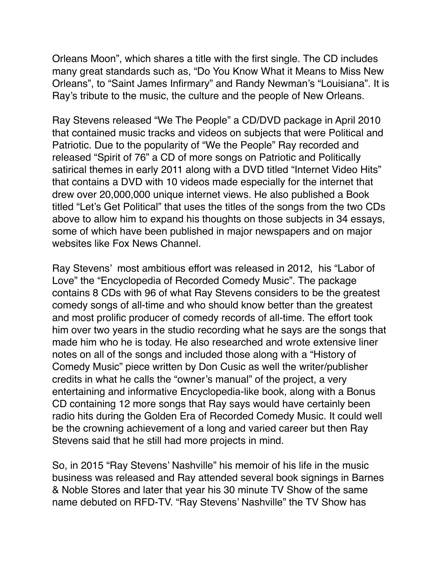Orleans Moon", which shares a title with the first single. The CD includes many great standards such as, "Do You Know What it Means to Miss New Orleans", to "Saint James Infirmary" and Randy Newman's "Louisiana". It is Ray's tribute to the music, the culture and the people of New Orleans.

Ray Stevens released "We The People" a CD/DVD package in April 2010 that contained music tracks and videos on subjects that were Political and Patriotic. Due to the popularity of "We the People" Ray recorded and released "Spirit of 76" a CD of more songs on Patriotic and Politically satirical themes in early 2011 along with a DVD titled "Internet Video Hits" that contains a DVD with 10 videos made especially for the internet that drew over 20,000,000 unique internet views. He also published a Book titled "Let's Get Political" that uses the titles of the songs from the two CDs above to allow him to expand his thoughts on those subjects in 34 essays, some of which have been published in major newspapers and on major websites like Fox News Channel.

Ray Stevens' most ambitious effort was released in 2012, his "Labor of Love" the "Encyclopedia of Recorded Comedy Music". The package contains 8 CDs with 96 of what Ray Stevens considers to be the greatest comedy songs of all-time and who should know better than the greatest and most prolific producer of comedy records of all-time. The effort took him over two years in the studio recording what he says are the songs that made him who he is today. He also researched and wrote extensive liner notes on all of the songs and included those along with a "History of Comedy Music" piece written by Don Cusic as well the writer/publisher credits in what he calls the "owner's manual" of the project, a very entertaining and informative Encyclopedia-like book, along with a Bonus CD containing 12 more songs that Ray says would have certainly been radio hits during the Golden Era of Recorded Comedy Music. It could well be the crowning achievement of a long and varied career but then Ray Stevens said that he still had more projects in mind.

So, in 2015 "Ray Stevens' Nashville" his memoir of his life in the music business was released and Ray attended several book signings in Barnes & Noble Stores and later that year his 30 minute TV Show of the same name debuted on RFD-TV. "Ray Stevens' Nashville" the TV Show has